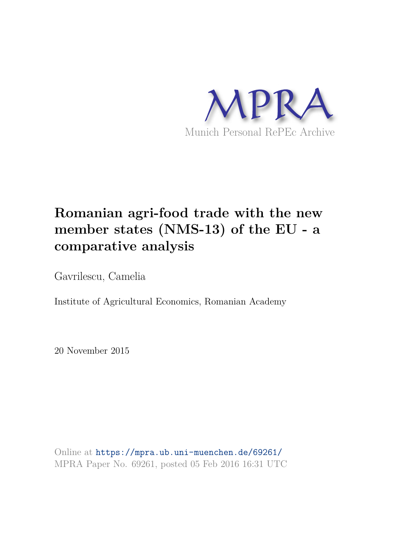

# **Romanian agri-food trade with the new member states (NMS-13) of the EU - a comparative analysis**

Gavrilescu, Camelia

Institute of Agricultural Economics, Romanian Academy

20 November 2015

Online at https://mpra.ub.uni-muenchen.de/69261/ MPRA Paper No. 69261, posted 05 Feb 2016 16:31 UTC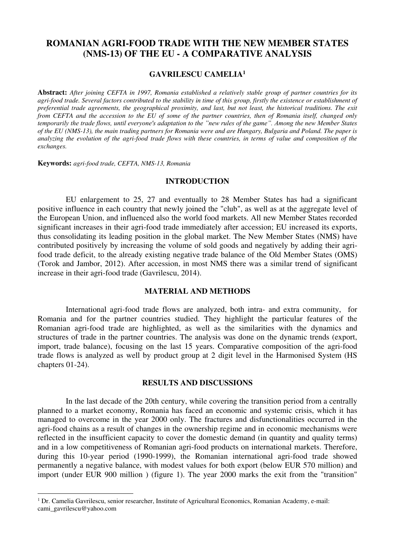# **ROMANIAN AGRI-FOOD TRADE WITH THE NEW MEMBER STATES (NMS-13) OF THE EU - A COMPARATIVE ANALYSIS**

## **GAVRILESCU CAMELIA<sup>1</sup>**

**Abstract:** *After joining CEFTA in 1997, Romania established a relatively stable group of partner countries for its agri-food trade. Several factors contributed to the stability in time of this group, firstly the existence or establishment of preferential trade agreements, the geographical proximity, and last, but not least, the historical traditions. The exit from CEFTA and the accession to the EU of some of the partner countries, then of Romania itself, changed only temporarily the trade flows, until everyone's adaptation to the "new rules of the game". Among the new Member States of the EU (NMS-13), the main trading partners for Romania were and are Hungary, Bulgaria and Poland. The paper is analyzing the evolution of the agri-food trade flows with these countries, in terms of value and composition of the exchanges.*

**Keywords:** *agri-food trade, CEFTA, NMS-13, Romania* 

 $\overline{a}$ 

#### **INTRODUCTION**

EU enlargement to 25, 27 and eventually to 28 Member States has had a significant positive influence in each country that newly joined the "club", as well as at the aggregate level of the European Union, and influenced also the world food markets. All new Member States recorded significant increases in their agri-food trade immediately after accession; EU increased its exports, thus consolidating its leading position in the global market. The New Member States (NMS) have contributed positively by increasing the volume of sold goods and negatively by adding their agrifood trade deficit, to the already existing negative trade balance of the Old Member States (OMS) (Torok and Jambor, 2012). After accession, in most NMS there was a similar trend of significant increase in their agri-food trade (Gavrilescu, 2014).

## **MATERIAL AND METHODS**

International agri-food trade flows are analyzed, both intra- and extra community, for Romania and for the partner countries studied. They highlight the particular features of the Romanian agri-food trade are highlighted, as well as the similarities with the dynamics and structures of trade in the partner countries. The analysis was done on the dynamic trends (export, import, trade balance), focusing on the last 15 years. Comparative composition of the agri-food trade flows is analyzed as well by product group at 2 digit level in the Harmonised System (HS chapters 01-24).

# **RESULTS AND DISCUSSIONS**

In the last decade of the 20th century, while covering the transition period from a centrally planned to a market economy, Romania has faced an economic and systemic crisis, which it has managed to overcome in the year 2000 only. The fractures and disfunctionalities occurred in the agri-food chains as a result of changes in the ownership regime and in economic mechanisms were reflected in the insufficient capacity to cover the domestic demand (in quantity and quality terms) and in a low competitiveness of Romanian agri-food products on international markets. Therefore, during this 10-year period (1990-1999), the Romanian international agri-food trade showed permanently a negative balance, with modest values for both export (below EUR 570 million) and import (under EUR 900 million ) (figure 1). The year 2000 marks the exit from the "transition"

<sup>&</sup>lt;sup>1</sup> Dr. Camelia Gavrilescu, senior researcher, Institute of Agricultural Economics, Romanian Academy, e-mail: cami\_gavrilescu@yahoo.com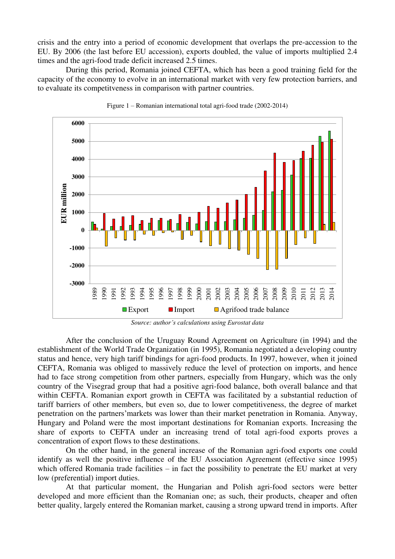crisis and the entry into a period of economic development that overlaps the pre-accession to the EU. By 2006 (the last before EU accession), exports doubled, the value of imports multiplied 2.4 times and the agri-food trade deficit increased 2.5 times.

During this period, Romania joined CEFTA, which has been a good training field for the capacity of the economy to evolve in an international market with very few protection barriers, and to evaluate its competitveness in comparison with partner countries.





*Source: author's calculations using Eurostat data*

After the conclusion of the Uruguay Round Agreement on Agriculture (in 1994) and the establishment of the World Trade Organization (in 1995), Romania negotiated a developing country status and hence, very high tariff bindings for agri-food products. In 1997, however, when it joined CEFTA, Romania was obliged to massively reduce the level of protection on imports, and hence had to face strong competition from other partners, especially from Hungary, which was the only country of the Visegrad group that had a positive agri-food balance, both overall balance and that within CEFTA. Romanian export growth in CEFTA was facilitated by a substantial reduction of tariff barriers of other members, but even so, due to lower competitiveness, the degree of market penetration on the partners'markets was lower than their market penetration in Romania. Anyway, Hungary and Poland were the most important destinations for Romanian exports. Increasing the share of exports to CEFTA under an increasing trend of total agri-food exports proves a concentration of export flows to these destinations.

On the other hand, in the general increase of the Romanian agri-food exports one could identify as well the positive influence of the EU Association Agreement (effective since 1995) which offered Romania trade facilities – in fact the possibility to penetrate the EU market at very low (preferential) import duties.

At that particular moment, the Hungarian and Polish agri-food sectors were better developed and more efficient than the Romanian one; as such, their products, cheaper and often better quality, largely entered the Romanian market, causing a strong upward trend in imports. After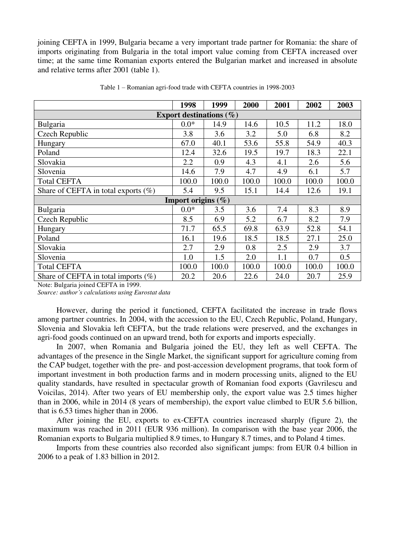joining CEFTA in 1999, Bulgaria became a very important trade partner for Romania: the share of imports originating from Bulgaria in the total import value coming from CEFTA increased over time; at the same time Romanian exports entered the Bulgarian market and increased in absolute and relative terms after 2001 (table 1).

|                                         | 1998   | 1999  | 2000  | 2001  | 2002  | 2003  |  |  |  |  |  |
|-----------------------------------------|--------|-------|-------|-------|-------|-------|--|--|--|--|--|
| Export destinations $(\% )$             |        |       |       |       |       |       |  |  |  |  |  |
| Bulgaria                                | $0.0*$ | 14.9  | 14.6  | 10.5  | 11.2  | 18.0  |  |  |  |  |  |
| Czech Republic                          | 3.8    | 3.6   | 3.2   | 5.0   | 6.8   | 8.2   |  |  |  |  |  |
| Hungary                                 | 67.0   | 40.1  | 53.6  | 55.8  | 54.9  | 40.3  |  |  |  |  |  |
| Poland                                  | 12.4   | 32.6  | 19.5  | 19.7  | 18.3  | 22.1  |  |  |  |  |  |
| Slovakia                                | 2.2    | 0.9   | 4.3   | 4.1   | 2.6   | 5.6   |  |  |  |  |  |
| Slovenia                                | 14.6   | 7.9   | 4.7   | 4.9   | 6.1   | 5.7   |  |  |  |  |  |
| <b>Total CEFTA</b>                      | 100.0  | 100.0 | 100.0 | 100.0 | 100.0 | 100.0 |  |  |  |  |  |
| Share of CEFTA in total exports $(\%)$  | 5.4    | 9.5   | 15.1  | 14.4  | 12.6  | 19.1  |  |  |  |  |  |
| Import origins $(\% )$                  |        |       |       |       |       |       |  |  |  |  |  |
| Bulgaria                                | $0.0*$ | 3.5   | 3.6   | 7.4   | 8.3   | 8.9   |  |  |  |  |  |
| Czech Republic                          | 8.5    | 6.9   | 5.2   | 6.7   | 8.2   | 7.9   |  |  |  |  |  |
| Hungary                                 | 71.7   | 65.5  | 69.8  | 63.9  | 52.8  | 54.1  |  |  |  |  |  |
| Poland                                  | 16.1   | 19.6  | 18.5  | 18.5  | 27.1  | 25.0  |  |  |  |  |  |
| Slovakia                                | 2.7    | 2.9   | 0.8   | 2.5   | 2.9   | 3.7   |  |  |  |  |  |
| Slovenia                                | 1.0    | 1.5   | 2.0   | 1.1   | 0.7   | 0.5   |  |  |  |  |  |
| <b>Total CEFTA</b>                      | 100.0  | 100.0 | 100.0 | 100.0 | 100.0 | 100.0 |  |  |  |  |  |
| Share of CEFTA in total imports $(\% )$ | 20.2   | 20.6  | 22.6  | 24.0  | 20.7  | 25.9  |  |  |  |  |  |

Table 1 – Romanian agri-food trade with CEFTA countries in 1998-2003

Note: Bulgaria joined CEFTA in 1999.

*Source: author's calculations using Eurostat data*

However, during the period it functioned, CEFTA facilitated the increase in trade flows among partner countries. In 2004, with the accession to the EU, Czech Republic, Poland, Hungary, Slovenia and Slovakia left CEFTA, but the trade relations were preserved, and the exchanges in agri-food goods continued on an upward trend, both for exports and imports especially.

In 2007, when Romania and Bulgaria joined the EU, they left as well CEFTA. The advantages of the presence in the Single Market, the significant support for agriculture coming from the CAP budget, together with the pre- and post-accession development programs, that took form of important investment in both production farms and in modern processing units, aligned to the EU quality standards, have resulted in spectacular growth of Romanian food exports (Gavrilescu and Voicilas, 2014). After two years of EU membership only, the export value was 2.5 times higher than in 2006, while in 2014 (8 years of membership), the export value climbed to EUR 5.6 billion, that is 6.53 times higher than in 2006.

After joining the EU, exports to ex-CEFTA countries increased sharply (figure 2), the maximum was reached in 2011 (EUR 936 million). In comparison with the base year 2006, the Romanian exports to Bulgaria multiplied 8.9 times, to Hungary 8.7 times, and to Poland 4 times.

Imports from these countries also recorded also significant jumps: from EUR 0.4 billion in 2006 to a peak of 1.83 billion in 2012.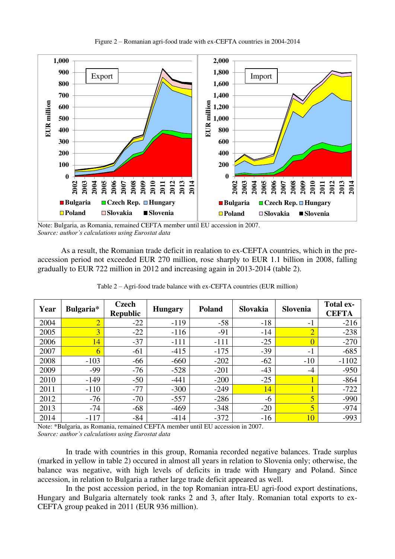



Note: Bulgaria, as Romania, remained CEFTA member until EU accession in 2007. *Source: author's calculations using Eurostat data*

 As a result, the Romanian trade deficit in realation to ex-CEFTA countries, which in the preaccession period not exceeded EUR 270 million, rose sharply to EUR 1.1 billion in 2008, falling gradually to EUR 722 million in 2012 and increasing again in 2013-2014 (table 2).

| Year | Bulgaria*      | Czech<br><b>Republic</b> | <b>Hungary</b> | <b>Poland</b> | <b>Slovakia</b> | <b>Slovenia</b> | <b>Total ex-</b><br><b>CEFTA</b> |
|------|----------------|--------------------------|----------------|---------------|-----------------|-----------------|----------------------------------|
| 2004 | $\overline{2}$ | $-22$                    | $-119$         | $-58$         | $-18$           | $-1$            | $-216$                           |
| 2005 | $\overline{3}$ | $-22$                    | $-116$         | $-91$         | $-14$           | $\overline{2}$  | $-238$                           |
| 2006 | 14             | $-37$                    | $-111$         | $-111$        | $-25$           | $\Omega$        | $-270$                           |
| 2007 | 6              | $-61$                    | $-415$         | $-175$        | $-39$           | $-1$            | $-685$                           |
| 2008 | $-103$         | $-66$                    | $-660$         | $-202$        | $-62$           | $-10$           | $-1102$                          |
| 2009 | $-99$          | $-76$                    | $-528$         | $-201$        | $-43$           | -4              | $-950$                           |
| 2010 | $-149$         | $-50$                    | $-441$         | $-200$        | $-25$           |                 | $-864$                           |
| 2011 | $-110$         | $-77$                    | $-300$         | $-249$        | 14              |                 | $-722$                           |
| 2012 | $-76$          | $-70$                    | $-557$         | $-286$        | -6              | 5               | $-990$                           |
| 2013 | $-74$          | $-68$                    | $-469$         | $-348$        | $-20$           | $\overline{5}$  | $-974$                           |
| 2014 | $-117$         | $-84$                    | $-414$         | $-372$        | $-16$           | 10 <sub>1</sub> | $-993$                           |

Table 2 – Agri-food trade balance with ex-CEFTA countries (EUR million)

Note: \*Bulgaria, as Romania, remained CEFTA member until EU accession in 2007. *Source: author's calculations using Eurostat data*

In trade with countries in this group, Romania recorded negative balances. Trade surplus (marked in yellow in table 2) occured in almost all years in relation to Slovenia only; otherwise, the balance was negative, with high levels of deficits in trade with Hungary and Poland. Since accession, in relation to Bulgaria a rather large trade deficit appeared as well.

In the post accession period, in the top Romanian intra-EU agri-food export destinations, Hungary and Bulgaria alternately took ranks 2 and 3, after Italy. Romanian total exports to ex-CEFTA group peaked in 2011 (EUR 936 million).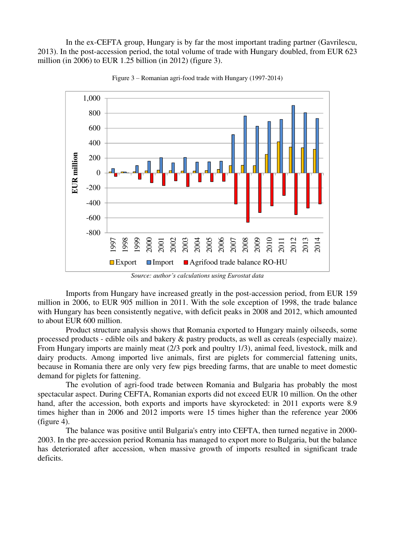In the ex-CEFTA group, Hungary is by far the most important trading partner (Gavrilescu, 2013). In the post-accession period, the total volume of trade with Hungary doubled, from EUR 623 million (in 2006) to EUR 1.25 billion (in 2012) (figure 3).



Figure 3 – Romanian agri-food trade with Hungary (1997-2014)

*Source: author's calculations using Eurostat data*

Imports from Hungary have increased greatly in the post-accession period, from EUR 159 million in 2006, to EUR 905 million in 2011. With the sole exception of 1998, the trade balance with Hungary has been consistently negative, with deficit peaks in 2008 and 2012, which amounted to about EUR 600 million.

Product structure analysis shows that Romania exported to Hungary mainly oilseeds, some processed products - edible oils and bakery & pastry products, as well as cereals (especially maize). From Hungary imports are mainly meat (2/3 pork and poultry 1/3), animal feed, livestock, milk and dairy products. Among imported live animals, first are piglets for commercial fattening units, because in Romania there are only very few pigs breeding farms, that are unable to meet domestic demand for piglets for fattening.

The evolution of agri-food trade between Romania and Bulgaria has probably the most spectacular aspect. During CEFTA, Romanian exports did not exceed EUR 10 million. On the other hand, after the accession, both exports and imports have skyrocketed: in 2011 exports were 8.9 times higher than in 2006 and 2012 imports were 15 times higher than the reference year 2006 (figure 4).

The balance was positive until Bulgaria's entry into CEFTA, then turned negative in 2000- 2003. In the pre-accession period Romania has managed to export more to Bulgaria, but the balance has deteriorated after accession, when massive growth of imports resulted in significant trade deficits.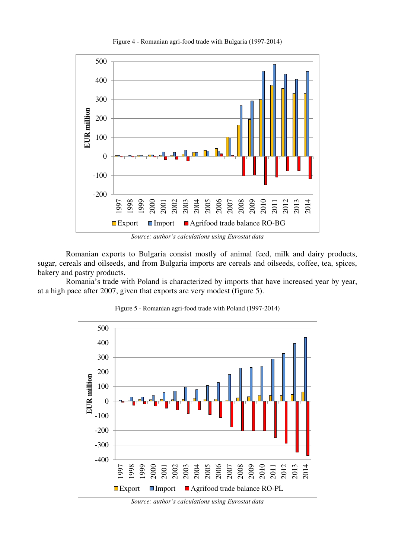

Figure 4 - Romanian agri-food trade with Bulgaria (1997-2014)

*Source: author's calculations using Eurostat data*

Romanian exports to Bulgaria consist mostly of animal feed, milk and dairy products, sugar, cereals and oilseeds, and from Bulgaria imports are cereals and oilseeds, coffee, tea, spices, bakery and pastry products.

Romania's trade with Poland is characterized by imports that have increased year by year, at a high pace after 2007, given that exports are very modest (figure 5).



Figure 5 - Romanian agri-food trade with Poland (1997-2014)

*Source: author's calculations using Eurostat data*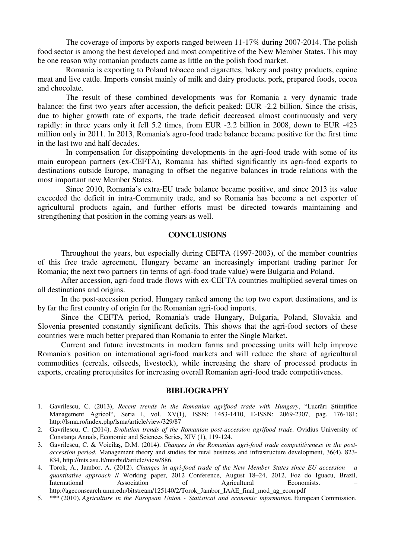The coverage of imports by exports ranged between 11-17% during 2007-2014. The polish food sector is among the best developed and most competitive of the New Member States. This may be one reason why romanian products came as little on the polish food market.

Romania is exporting to Poland tobacco and cigarettes, bakery and pastry products, equine meat and live cattle. Imports consist mainly of milk and dairy products, pork, prepared foods, cocoa and chocolate.

The result of these combined developments was for Romania a very dynamic trade balance: the first two years after accession, the deficit peaked: EUR -2.2 billion. Since the crisis, due to higher growth rate of exports, the trade deficit decreased almost continuously and very rapidly: in three years only it fell 5.2 times, from EUR -2.2 billion in 2008, down to EUR -423 million only in 2011. In 2013, Romania's agro-food trade balance became positive for the first time in the last two and half decades.

In compensation for disappointing developments in the agri-food trade with some of its main european partners (ex-CEFTA), Romania has shifted significantly its agri-food exports to destinations outside Europe, managing to offset the negative balances in trade relations with the most important new Member States.

Since 2010, Romania's extra-EU trade balance became positive, and since 2013 its value exceeded the deficit in intra-Community trade, and so Romania has become a net exporter of agricultural products again, and further efforts must be directed towards maintaining and strengthening that position in the coming years as well.

#### **CONCLUSIONS**

 Throughout the years, but especially during CEFTA (1997-2003), of the member countries of this free trade agreement, Hungary became an increasingly important trading partner for Romania; the next two partners (in terms of agri-food trade value) were Bulgaria and Poland.

 After accession, agri-food trade flows with ex-CEFTA countries multiplied several times on all destinations and origins.

 In the post-accession period, Hungary ranked among the top two export destinations, and is by far the first country of origin for the Romanian agri-food imports.

 Since the CEFTA period, Romania's trade Hungary, Bulgaria, Poland, Slovakia and Slovenia presented constantly significant deficits. This shows that the agri-food sectors of these countries were much better prepared than Romania to enter the Single Market.

 Current and future investments in modern farms and processing units will help improve Romania's position on international agri-food markets and will reduce the share of agricultural commodities (cereals, oilseeds, livestock), while increasing the share of processed products in exports, creating prerequisites for increasing overall Romanian agri-food trade competitiveness.

#### **BIBLIOGRAPHY**

- 1. Gavrilescu, C. (2013), *Recent trends in the Romanian agrifood trade with Hungary*, "Lucrări Ştiinţifice Management Agricol", Seria I, vol. XV(1), ISSN: 1453-1410, E-ISSN: 2069-2307, pag. 176-181; http://lsma.ro/index.php/lsma/article/view/329/87
- 2. Gavrilescu, C. (2014). *Evolution trends of the Romanian post-accession agrifood trade.* Ovidius University of Constanța Annals, Economic and Sciences Series, XIV (1), 119-124.
- 3. Gavrilescu, C. & Voicilaș, D.M. (2014). *Changes in the Romanian agri-food trade competitiveness in the postaccession period.* Management theory and studies for rural business and infrastructure development, 36(4), 823- 834, http://mts.asu.lt/mtsrbid/article/view/886.
- 4. Torok, A., Jambor, A. (2012). *Changes in agri-food trade of the New Member States since EU accession a quantitative approach* // Working paper, 2012 Conference, August 18–24, 2012, Foz do Iguacu, Brazil, Association of Agricultural http://ageconsearch.umn.edu/bitstream/125140/2/Torok\_Jambor\_IAAE\_final\_mod\_ag\_econ.pdf
- 5. \*\*\* (2010), *Agriculture in the European Union Statistical and economic information.* European Commission.